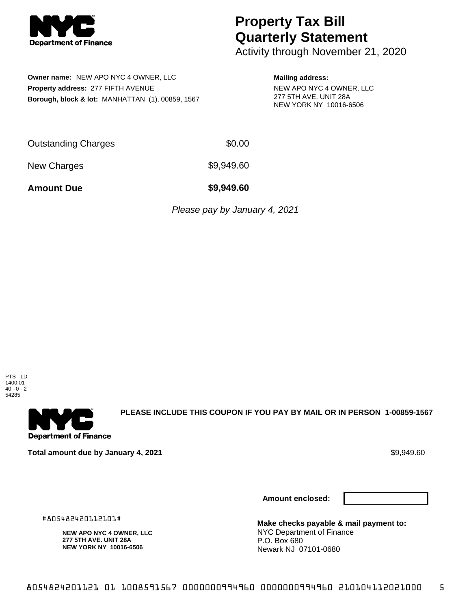

## **Property Tax Bill Quarterly Statement**

Activity through November 21, 2020

**Owner name:** NEW APO NYC 4 OWNER, LLC **Property address:** 277 FIFTH AVENUE **Borough, block & lot:** MANHATTAN (1), 00859, 1567

## **Mailing address:**

NEW APO NYC 4 OWNER, LLC 277 5TH AVE. UNIT 28A NEW YORK NY 10016-6506

| <b>Outstanding Charges</b> | \$0.00 |
|----------------------------|--------|
|----------------------------|--------|

New Charges \$9,949.60

**Amount Due \$9,949.60**

Please pay by January 4, 2021



. . . . . . . . . . . . . . . .

**Department of Finance** 

**PLEASE INCLUDE THIS COUPON IF YOU PAY BY MAIL OR IN PERSON 1-00859-1567** 

**Total amount due by January 4, 2021 \$9,949.60 \$9,949.60** 

**NEW APO NYC 4 OWNER, LLC 277 5TH AVE. UNIT 28A NEW YORK NY 10016-6506**

#805482420112101#

**Amount enclosed:**



**Make checks payable & mail payment to:** NYC Department of Finance P.O. Box 680 Newark NJ 07101-0680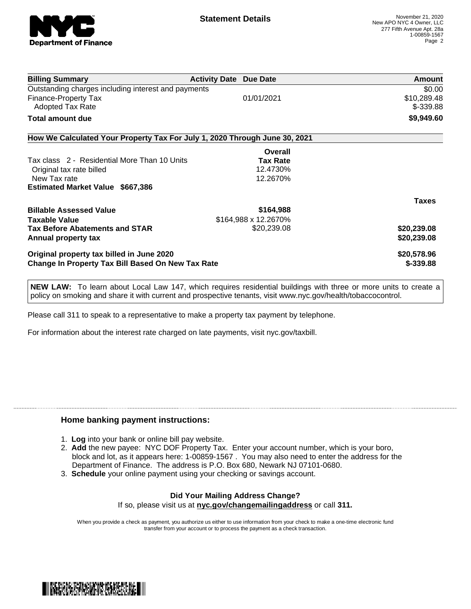

| <b>Billing Summary</b>                                                     | <b>Activity Date Due Date</b> |                 | Amount                    |
|----------------------------------------------------------------------------|-------------------------------|-----------------|---------------------------|
| Outstanding charges including interest and payments                        |                               |                 | \$0.00                    |
| Finance-Property Tax<br>Adopted Tax Rate                                   |                               | 01/01/2021      | \$10,289.48<br>$$-339.88$ |
| Total amount due                                                           |                               |                 | \$9,949.60                |
| How We Calculated Your Property Tax For July 1, 2020 Through June 30, 2021 |                               |                 |                           |
|                                                                            |                               | Overall         |                           |
| Tax class 2 - Residential More Than 10 Units                               |                               | <b>Tax Rate</b> |                           |
| Original tax rate billed                                                   |                               | 12.4730%        |                           |
| New Tax rate                                                               |                               | 12.2670%        |                           |
| <b>Estimated Market Value \$667,386</b>                                    |                               |                 |                           |
|                                                                            |                               |                 | <b>Taxes</b>              |
| <b>Billable Assessed Value</b>                                             |                               | \$164,988       |                           |
| <b>Taxable Value</b>                                                       | \$164,988 x 12.2670%          |                 |                           |
| <b>Tax Before Abatements and STAR</b>                                      |                               | \$20,239.08     | \$20,239.08               |
| <b>Annual property tax</b>                                                 |                               |                 | \$20,239.08               |
| Original property tax billed in June 2020                                  |                               |                 | \$20,578.96               |
| <b>Change In Property Tax Bill Based On New Tax Rate</b>                   |                               | \$-339.88       |                           |
|                                                                            |                               |                 |                           |

**NEW LAW:** To learn about Local Law 147, which requires residential buildings with three or more units to create a policy on smoking and share it with current and prospective tenants, visit www.nyc.gov/health/tobaccocontrol.

Please call 311 to speak to a representative to make a property tax payment by telephone.

For information about the interest rate charged on late payments, visit nyc.gov/taxbill.

## **Home banking payment instructions:**

- 1. **Log** into your bank or online bill pay website.
- 2. **Add** the new payee: NYC DOF Property Tax. Enter your account number, which is your boro, block and lot, as it appears here: 1-00859-1567 . You may also need to enter the address for the Department of Finance. The address is P.O. Box 680, Newark NJ 07101-0680.
- 3. **Schedule** your online payment using your checking or savings account.

## **Did Your Mailing Address Change?** If so, please visit us at **nyc.gov/changemailingaddress** or call **311.**

When you provide a check as payment, you authorize us either to use information from your check to make a one-time electronic fund transfer from your account or to process the payment as a check transaction.